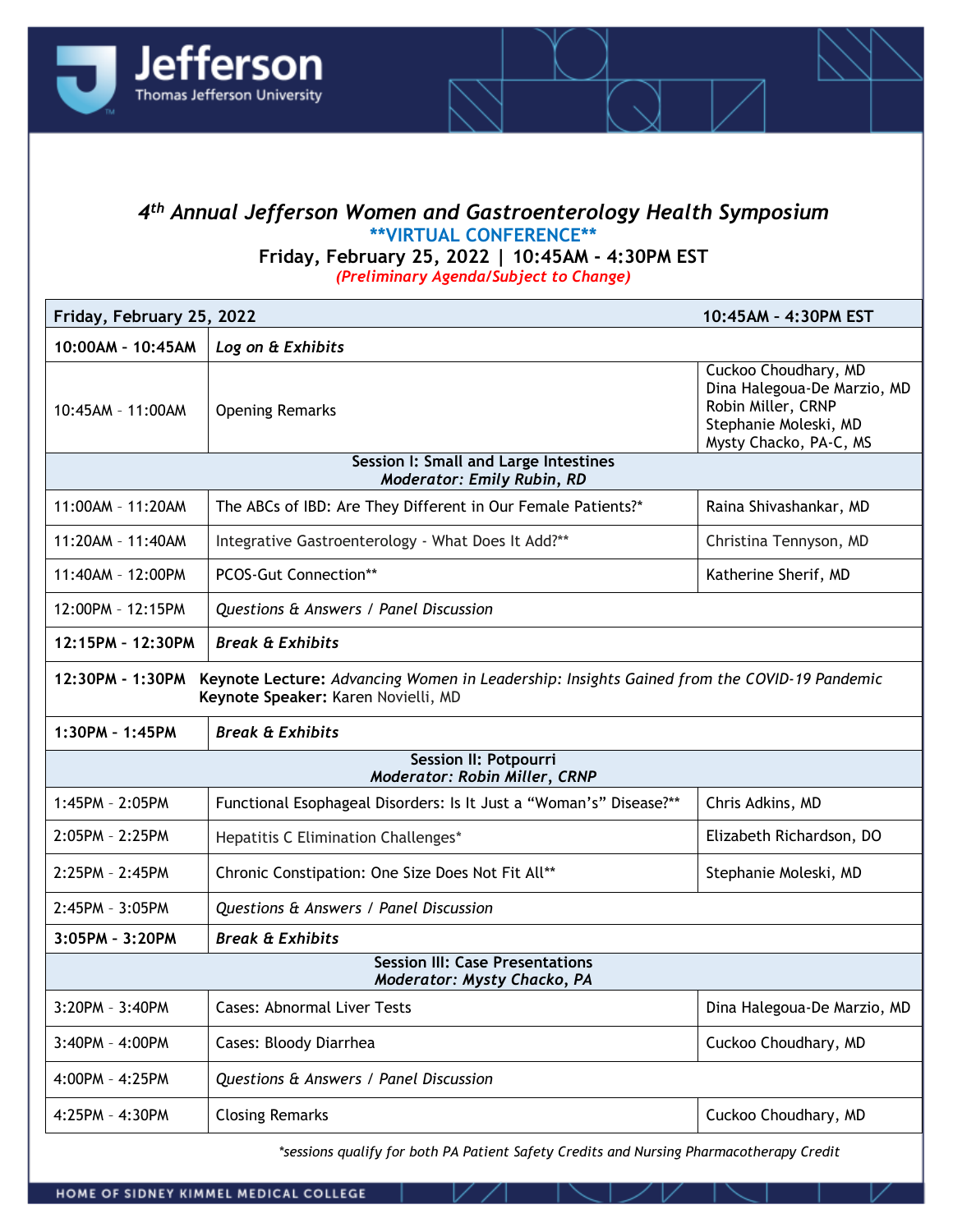

## *4th Annual Jefferson Women and Gastroenterology Health Symposium* **\*\*VIRTUAL CONFERENCE\*\***

**Friday, February 25, 2022 | 10:45AM - 4:30PM EST** *(Preliminary Agenda/Subject to Change)*

| Friday, February 25, 2022                                                                                                                             |                                                                    | 10:45AM - 4:30PM EST                                                                                                         |
|-------------------------------------------------------------------------------------------------------------------------------------------------------|--------------------------------------------------------------------|------------------------------------------------------------------------------------------------------------------------------|
| 10:00AM - 10:45AM<br>Log on & Exhibits                                                                                                                |                                                                    |                                                                                                                              |
| 10:45AM - 11:00AM                                                                                                                                     | <b>Opening Remarks</b>                                             | Cuckoo Choudhary, MD<br>Dina Halegoua-De Marzio, MD<br>Robin Miller, CRNP<br>Stephanie Moleski, MD<br>Mysty Chacko, PA-C, MS |
| Session I: Small and Large Intestines<br><b>Moderator: Emily Rubin, RD</b>                                                                            |                                                                    |                                                                                                                              |
| 11:00AM - 11:20AM                                                                                                                                     | The ABCs of IBD: Are They Different in Our Female Patients?*       | Raina Shivashankar, MD                                                                                                       |
| 11:20AM - 11:40AM                                                                                                                                     | Integrative Gastroenterology - What Does It Add?**                 | Christina Tennyson, MD                                                                                                       |
| 11:40AM - 12:00PM                                                                                                                                     | <b>PCOS-Gut Connection**</b>                                       | Katherine Sherif, MD                                                                                                         |
| 12:00PM - 12:15PM                                                                                                                                     | Questions & Answers / Panel Discussion                             |                                                                                                                              |
| 12:15PM - 12:30PM                                                                                                                                     | <b>Break &amp; Exhibits</b>                                        |                                                                                                                              |
| 12:30PM - 1:30PM<br>Keynote Lecture: Advancing Women in Leadership: Insights Gained from the COVID-19 Pandemic<br>Keynote Speaker: Karen Novielli, MD |                                                                    |                                                                                                                              |
| 1:30PM - 1:45PM                                                                                                                                       | <b>Break &amp; Exhibits</b>                                        |                                                                                                                              |
| Session II: Potpourri<br>Moderator: Robin Miller, CRNP                                                                                                |                                                                    |                                                                                                                              |
| 1:45PM - 2:05PM                                                                                                                                       | Functional Esophageal Disorders: Is It Just a "Woman's" Disease?** | Chris Adkins, MD                                                                                                             |
| 2:05PM - 2:25PM                                                                                                                                       | Hepatitis C Elimination Challenges*                                | Elizabeth Richardson, DO                                                                                                     |
| 2:25PM - 2:45PM                                                                                                                                       | Chronic Constipation: One Size Does Not Fit All**                  | Stephanie Moleski, MD                                                                                                        |
| 2:45PM - 3:05PM                                                                                                                                       | Questions & Answers / Panel Discussion                             |                                                                                                                              |
| 3:05PM - 3:20PM                                                                                                                                       | <b>Break &amp; Exhibits</b>                                        |                                                                                                                              |
| <b>Session III: Case Presentations</b><br>Moderator: Mysty Chacko, PA                                                                                 |                                                                    |                                                                                                                              |
| 3:20PM - 3:40PM                                                                                                                                       | <b>Cases: Abnormal Liver Tests</b>                                 | Dina Halegoua-De Marzio, MD                                                                                                  |
| $3:40PM - 4:00PM$                                                                                                                                     | Cases: Bloody Diarrhea                                             | Cuckoo Choudhary, MD                                                                                                         |
| 4:00PM - 4:25PM                                                                                                                                       | Questions & Answers / Panel Discussion                             |                                                                                                                              |
| 4:25PM - 4:30PM                                                                                                                                       | <b>Closing Remarks</b>                                             | Cuckoo Choudhary, MD                                                                                                         |
|                                                                                                                                                       |                                                                    |                                                                                                                              |

*\*sessions qualify for both PA Patient Safety Credits and Nursing Pharmacotherapy Credit*